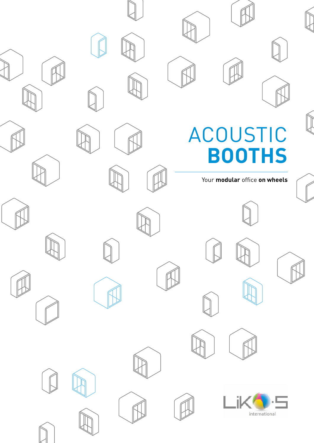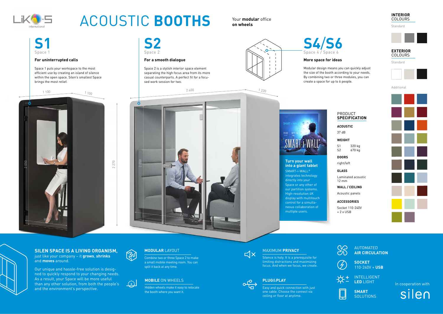Socket 110-240V  $+ 2$  x USB



#### **WEIGHT**

#### **ACOUSTIC**

### PRODUCT **SPECIFICATION**

#### **WALL / CEILING**

#### **DOORS**

#### **GLASS**

### **ACCESSORIES**

S1 320 kg S2 670 kg

37 dB

Acoustic panels

right/left

Laminated acoustic 12 mm

## MAXIMUM **PRIVACY** AUTOMATED **AIR CIRCULATION**

**SMART SOLUTIONS** 



Modular design means you can quickly adjust the size of the booth according to your needs. By combining two or three modules, you can

> In cooperation with silen



INTELLIGENT **LED** LIGHT







## **PLUG**&**PLAY**

# **MODULAR** LAYOUT

# **MOBILE** ON WHEELS



# ACOUSTIC **BOOTHS**

# **SILEN SPACE IS A LIVING ORGANISM,**

just like your company – it **grows**, **shrinks** and **moves** around.

Our unique and hassle-free solution is designed to quickly respond to your changing needs. As a result, your Space will be more useful than any other solution, from both the people's and the environment's perspective.



Combine two or three Space 2 to make a small mobile meeting room. You can split it back at any time.



Hidden wheels make it easy to relocate the booth where you want it.



Silence is holy. It is a prerequisite for limiting distractions and maximizing focus. And when we focus, we create.



Easy and quick connection with just one cable. Choose the connect via ceiling or floor at anytime.



Your **modular** office **on wheels**